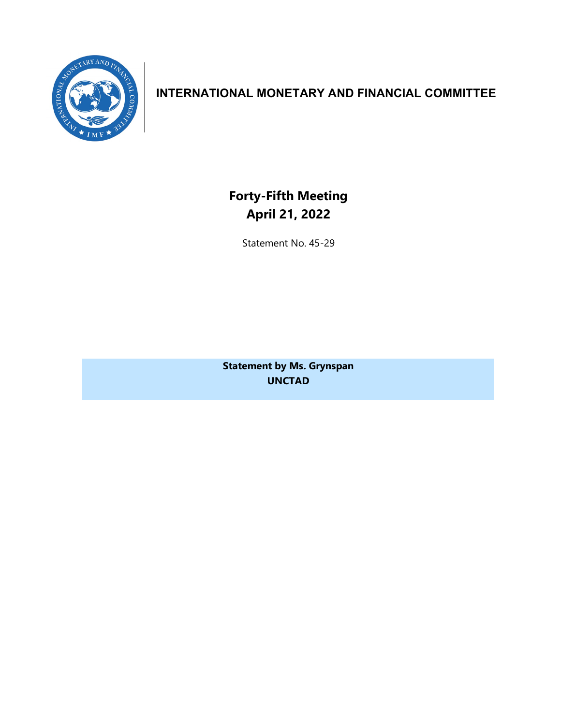

## **INTERNATIONAL MONETARY AND FINANCIAL COMMITTEE**

**Forty-Fifth Meeting April 21, 2022**

Statement No. 45-29

**Statement by Ms. Grynspan UNCTAD**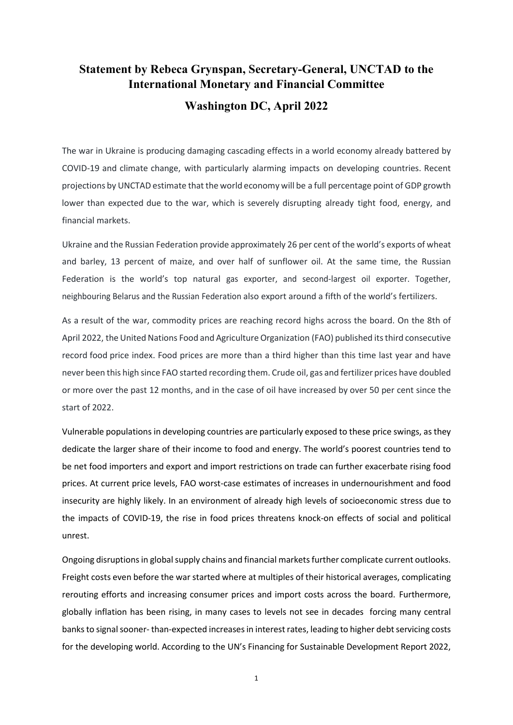## **Statement by Rebeca Grynspan, Secretary-General, UNCTAD to the International Monetary and Financial Committee Washington DC, April 2022**

The war in Ukraine is producing damaging cascading effects in a world economy already battered by COVID-19 and climate change, with particularly alarming impacts on developing countries. Recent projections by UNCTAD estimate that the world economy will be a full percentage point of GDP growth lower than expected due to the war, which is severely disrupting already tight food, energy, and financial markets.

Ukraine and the Russian Federation provide approximately 26 per cent of the world's exports of wheat and barley, 13 percent of maize, and over half of sunflower oil. At the same time, the Russian Federation is the world's top natural gas exporter, and second-largest oil exporter. Together, neighbouring Belarus and the Russian Federation also export around a fifth of the world's fertilizers.

As a result of the war, commodity prices are reaching record highs across the board. On the 8th of April 2022, the United Nations Food and Agriculture Organization (FAO) published its third consecutive record food price index. Food prices are more than a third higher than this time last year and have never been this high since FAO started recording them. Crude oil, gas and fertilizer prices have doubled or more over the past 12 months, and in the case of oil have increased by over 50 per cent since the start of 2022.

Vulnerable populations in developing countries are particularly exposed to these price swings, as they dedicate the larger share of their income to food and energy. The world's poorest countries tend to be net food importers and export and import restrictions on trade can further exacerbate rising food prices. At current price levels, FAO worst-case estimates of increases in undernourishment and food insecurity are highly likely. In an environment of already high levels of socioeconomic stress due to the impacts of COVID-19, the rise in food prices threatens knock-on effects of social and political unrest.

Ongoing disruptions in global supply chains and financial markets further complicate current outlooks. Freight costs even before the war started where at multiples of their historical averages, complicating rerouting efforts and increasing consumer prices and import costs across the board. Furthermore, globally inflation has been rising, in many cases to levels not see in decades forcing many central banks to signal sooner- than-expected increases in interest rates, leading to higher debt servicing costs for the developing world. According to the UN's Financing for Sustainable Development Report 2022,

1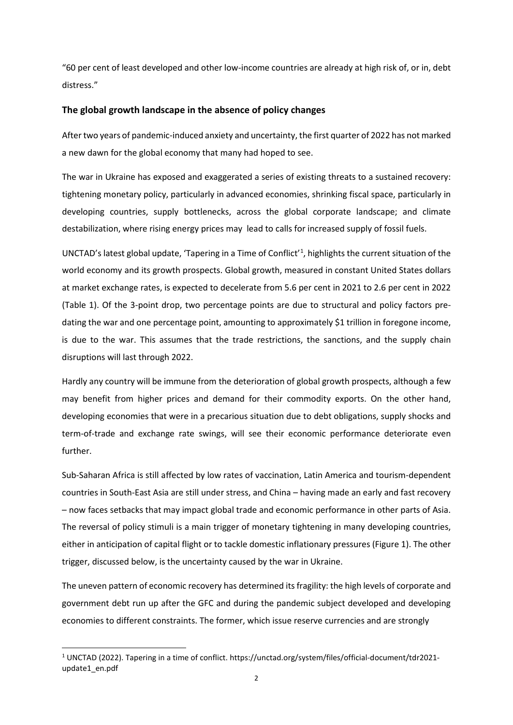"60 per cent of least developed and other low-income countries are already at high risk of, or in, debt distress."

## **The global growth landscape in the absence of policy changes**

After two years of pandemic-induced anxiety and uncertainty, the first quarter of 2022 has not marked a new dawn for the global economy that many had hoped to see.

The war in Ukraine has exposed and exaggerated a series of existing threats to a sustained recovery: tightening monetary policy, particularly in advanced economies, shrinking fiscal space, particularly in developing countries, supply bottlenecks, across the global corporate landscape; and climate destabilization, where rising energy prices may lead to calls for increased supply of fossil fuels.

UNCTAD's latest global update, 'Tapering in a Time of Conflict'<sup>[1](#page-3-0)</sup>, highlights the current situation of the world economy and its growth prospects. Global growth, measured in constant United States dollars at market exchange rates, is expected to decelerate from 5.6 per cent in 2021 to 2.6 per cent in 2022 (Table 1). Of the 3-point drop, two percentage points are due to structural and policy factors predating the war and one percentage point, amounting to approximately \$1 trillion in foregone income, is due to the war. This assumes that the trade restrictions, the sanctions, and the supply chain disruptions will last through 2022.

Hardly any country will be immune from the deterioration of global growth prospects, although a few may benefit from higher prices and demand for their commodity exports. On the other hand, developing economies that were in a precarious situation due to debt obligations, supply shocks and term-of-trade and exchange rate swings, will see their economic performance deteriorate even further.

Sub-Saharan Africa is still affected by low rates of vaccination, Latin America and tourism-dependent countries in South-East Asia are still under stress, and China – having made an early and fast recovery – now faces setbacks that may impact global trade and economic performance in other parts of Asia. The reversal of policy stimuli is a main trigger of monetary tightening in many developing countries, either in anticipation of capital flight or to tackle domestic inflationary pressures (Figure 1). The other trigger, discussed below, is the uncertainty caused by the war in Ukraine.

The uneven pattern of economic recovery has determined its fragility: the high levels of corporate and government debt run up after the GFC and during the pandemic subject developed and developing economies to different constraints. The former, which issue reserve currencies and are strongly

<span id="page-3-0"></span><sup>1</sup> UNCTAD (2022). Tapering in a time of conflict. https://unctad.org/system/files/official-document/tdr2021 update1\_en.pdf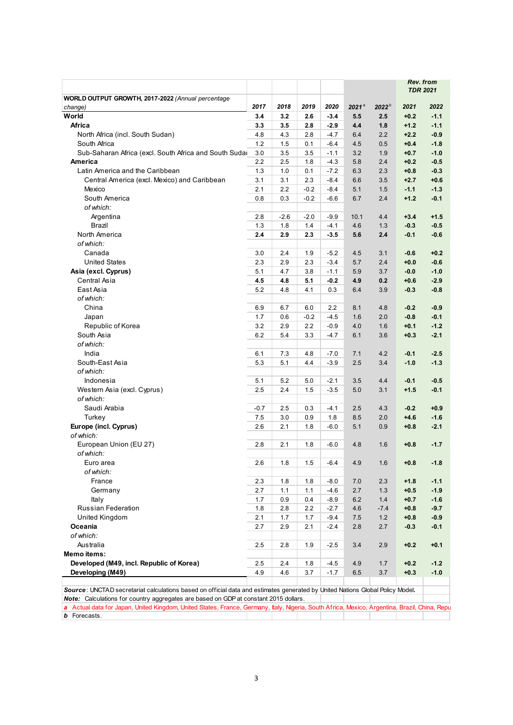| WORLD OUTPUT GROWTH, 2017-2022 (Annual percentage                                                                                             |        |        |        |        |                   |                   | Rev. from<br><b>TDR 2021</b> |        |
|-----------------------------------------------------------------------------------------------------------------------------------------------|--------|--------|--------|--------|-------------------|-------------------|------------------------------|--------|
|                                                                                                                                               |        |        |        |        |                   |                   |                              |        |
| change)                                                                                                                                       | 2017   | 2018   | 2019   | 2020   | $2021^{\text{a}}$ | 2022 <sup>b</sup> | 2021                         | 2022   |
| World                                                                                                                                         | 3.4    | 3.2    | 2.6    | $-3.4$ | 5.5               | 2.5               | $+0.2$                       | $-1.1$ |
| Africa                                                                                                                                        | 3.3    | 3.5    | 2.8    | $-2.9$ | 4.4               | 1.8               | $+1.2$                       | $-1.1$ |
| North Africa (incl. South Sudan)                                                                                                              | 4.8    | 4.3    | 2.8    | $-4.7$ | 6.4               | 2.2               | $+2.2$                       | $-0.9$ |
| South Africa                                                                                                                                  | 1.2    | 1.5    | 0.1    | $-6.4$ | 4.5               | 0.5               | $+0.4$                       | $-1.8$ |
| Sub-Saharan Africa (excl. South Africa and South Suda                                                                                         | 3.0    | 3.5    | 3.5    | $-1.1$ | 3.2               | 1.9               | $+0.7$                       | $-1.0$ |
| America                                                                                                                                       | 2.2    | 2.5    | 1.8    | $-4.3$ | 5.8               | 2.4               | $+0.2$                       | $-0.5$ |
| Latin America and the Caribbean                                                                                                               | 1.3    | 1.0    | 0.1    | $-7.2$ | 6.3               | 2.3               | $+0.8$                       | $-0.3$ |
| Central America (excl. Mexico) and Caribbean                                                                                                  | 3.1    | 3.1    | 2.3    | $-8.4$ | 6.6               | 3.5               | $+2.7$                       | $+0.6$ |
| Mexico                                                                                                                                        | 2.1    | 2.2    | $-0.2$ | $-8.4$ | 5.1               | 1.5               | $-1.1$                       | $-1.3$ |
| South America                                                                                                                                 | 0.8    | 0.3    | $-0.2$ | $-6.6$ | 6.7               | 2.4               | $+1.2$                       | $-0.1$ |
| of which:                                                                                                                                     |        |        |        |        |                   |                   |                              |        |
| Argentina                                                                                                                                     | 2.8    | $-2.6$ | $-2.0$ | $-9.9$ | 10.1              | 4.4               | $+3.4$                       | $+1.5$ |
| Brazil                                                                                                                                        | 1.3    | 1.8    | 1.4    | $-4.1$ | 4.6               | 1.3               | $-0.3$                       | $-0.5$ |
| North America                                                                                                                                 | 2.4    | 2.9    | 2.3    | $-3.5$ | 5.6               | 2.4               | $-0.1$                       | $-0.6$ |
| of which:                                                                                                                                     |        |        |        |        |                   |                   |                              |        |
|                                                                                                                                               |        |        |        |        |                   |                   |                              |        |
| Canada                                                                                                                                        | 3.0    | 2.4    | 1.9    | $-5.2$ | 4.5               | 3.1               | $-0.6$                       | $+0.2$ |
| <b>United States</b>                                                                                                                          | 2.3    | 2.9    | 2.3    | $-3.4$ | 5.7               | 2.4               | $+0.0$                       | $-0.6$ |
| Asia (excl. Cyprus)                                                                                                                           | 5.1    | 4.7    | 3.8    | $-1.1$ | 5.9               | 3.7               | $-0.0$                       | $-1.0$ |
| Central Asia                                                                                                                                  | 4.5    | 4.8    | 5.1    | $-0.2$ | 4.9               | 0.2               | $+0.6$                       | $-2.9$ |
| East Asia                                                                                                                                     | 5.2    | 4.8    | 4.1    | 0.3    | 6.4               | 3.9               | $-0.3$                       | $-0.8$ |
| of which:                                                                                                                                     |        |        |        |        |                   |                   |                              |        |
| China                                                                                                                                         | 6.9    | 6.7    | 6.0    | 2.2    | 8.1               | 4.8               | $-0.2$                       | $-0.9$ |
| Japan                                                                                                                                         | 1.7    | 0.6    | $-0.2$ | $-4.5$ | 1.6               | 2.0               | $-0.8$                       | $-0.1$ |
| Republic of Korea                                                                                                                             | 3.2    | 2.9    | 2.2    | $-0.9$ | 4.0               | 1.6               | $+0.1$                       | $-1.2$ |
| South Asia                                                                                                                                    | 6.2    | 5.4    | 3.3    | $-4.7$ | 6.1               | 3.6               | $+0.3$                       | $-2.1$ |
| of which:                                                                                                                                     |        |        |        |        |                   |                   |                              |        |
| India                                                                                                                                         | 6.1    | 7.3    | 4.8    | $-7.0$ | 7.1               | 4.2               | $-0.1$                       | $-2.5$ |
| South-East Asia                                                                                                                               | 5.3    | 5.1    | 4.4    | $-3.9$ | 2.5               | 3.4               | $-1.0$                       | $-1.3$ |
| of which:                                                                                                                                     |        |        |        |        |                   |                   |                              |        |
| Indonesia                                                                                                                                     | 5.1    | 5.2    | 5.0    | $-2.1$ | 3.5               | 4.4               | $-0.1$                       | $-0.5$ |
| Western Asia (excl. Cyprus)                                                                                                                   | 2.5    | 2.4    | 1.5    | $-3.5$ | 5.0               | 3.1               | $+1.5$                       | $-0.1$ |
| of which:                                                                                                                                     |        |        |        |        |                   |                   |                              |        |
| Saudi Arabia                                                                                                                                  | $-0.7$ | 2.5    | 0.3    | $-4.1$ | 2.5               | 4.3               | $-0.2$                       | $+0.9$ |
| Turkey                                                                                                                                        | 7.5    | 3.0    | 0.9    | 1.8    | 8.5               | 2.0               | $+4.6$                       | $-1.6$ |
|                                                                                                                                               | 2.6    |        |        |        |                   |                   |                              |        |
| Europe (incl. Cyprus)                                                                                                                         |        | 2.1    | 1.8    | $-6.0$ | 5.1               | 0.9               | $+0.8$                       | $-2.1$ |
| of which:                                                                                                                                     |        |        |        |        |                   |                   |                              |        |
| European Union (EU 27)                                                                                                                        | 2.8    | 2.1    | 1.8    | $-6.0$ | 4.8               | 1.6               | $+0.8$                       | $-1.7$ |
| of which:                                                                                                                                     |        |        |        |        |                   |                   |                              |        |
| Euro area                                                                                                                                     | 2.6    | 1.8    | 1.5    | $-6.4$ | 4.9               | 1.6               | $+0.8$                       | $-1.8$ |
| of which:                                                                                                                                     |        |        |        |        |                   |                   |                              |        |
| France                                                                                                                                        | 2.3    | 1.8    | 1.8    | $-8.0$ | 7.0               | 2.3               | $+1.8$                       | $-1.1$ |
| Germany                                                                                                                                       | 2.7    | 1.1    | 1.1    | $-4.6$ | 2.7               | 1.3               | $+0.5$                       | $-1.9$ |
| Italy                                                                                                                                         | 1.7    | 0.9    | 0.4    | $-8.9$ | 6.2               | 1.4               | $+0.7$                       | $-1.6$ |
| <b>Russian Federation</b>                                                                                                                     | 1.8    | 2.8    | 2.2    | $-2.7$ | 4.6               | $-7.4$            | $+0.8$                       | $-9.7$ |
| United Kingdom                                                                                                                                | 2.1    | 1.7    | 1.7    | $-9.4$ | 7.5               | 1.2               | $+0.8$                       | $-0.9$ |
| Oceania                                                                                                                                       | 2.7    | 2.9    | 2.1    | $-2.4$ | 2.8               | 2.7               | $-0.3$                       | $-0.1$ |
| of which:                                                                                                                                     |        |        |        |        |                   |                   |                              |        |
| Australia                                                                                                                                     | 2.5    | 2.8    | 1.9    | $-2.5$ | 3.4               | 2.9               | $+0.2$                       | $+0.1$ |
| <b>Memo items:</b>                                                                                                                            |        |        |        |        |                   |                   |                              |        |
| Developed (M49, incl. Republic of Korea)                                                                                                      | 2.5    | 2.4    | 1.8    | $-4.5$ | 4.9               | 1.7               | $+0.2$                       | $-1.2$ |
| Developing (M49)                                                                                                                              | 4.9    | 4.6    | 3.7    | $-1.7$ | 6.5               | 3.7               | $+0.3$                       | $-1.0$ |
|                                                                                                                                               |        |        |        |        |                   |                   |                              |        |
| Source: UNCTAD secretariat calculations based on official data and estimates generated by United Nations Global Policy Model.                 |        |        |        |        |                   |                   |                              |        |
| Note: Calculations for country aggregates are based on GDP at constant 2015 dollars.                                                          |        |        |        |        |                   |                   |                              |        |
| a Actual data for Japan, United Kingdom, United States, France, Germany, Italy, Nigeria, South Africa, Mexico, Argentina, Brazil, China, Repu |        |        |        |        |                   |                   |                              |        |
| <b>b</b> Forecasts.                                                                                                                           |        |        |        |        |                   |                   |                              |        |
|                                                                                                                                               |        |        |        |        |                   |                   |                              |        |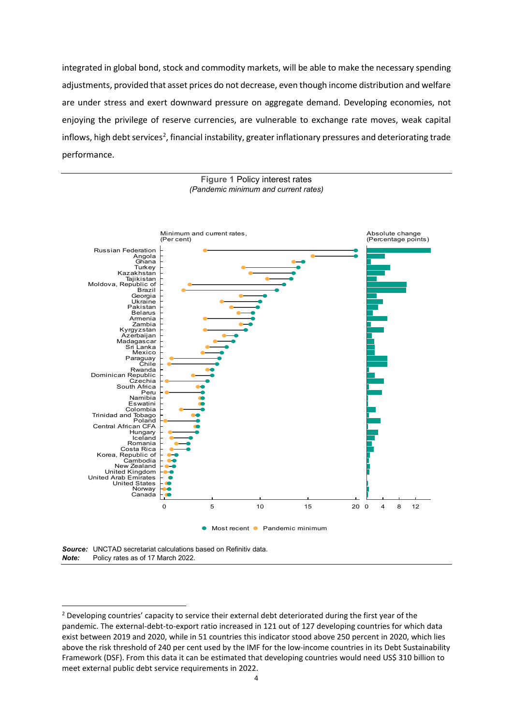integrated in global bond, stock and commodity markets, will be able to make the necessary spending adjustments, provided that asset prices do not decrease, even though income distribution and welfare are under stress and exert downward pressure on aggregate demand. Developing economies, not enjoying the privilege of reserve currencies, are vulnerable to exchange rate moves, weak capital inflows, high debt services<sup>[2](#page-5-0)</sup>, financial instability, greater inflationary pressures and deteriorating trade performance.



*Note:* Policy rates as of 17 March 2022.

<span id="page-5-0"></span><sup>&</sup>lt;sup>2</sup> Developing countries' capacity to service their external debt deteriorated during the first year of the pandemic. The external-debt-to-export ratio increased in 121 out of 127 developing countries for which data exist between 2019 and 2020, while in 51 countries this indicator stood above 250 percent in 2020, which lies above the risk threshold of 240 per cent used by the IMF for the low-income countries in its Debt Sustainability Framework (DSF). From this data it can be estimated that developing countries would need US\$ 310 billion to meet external public debt service requirements in 2022.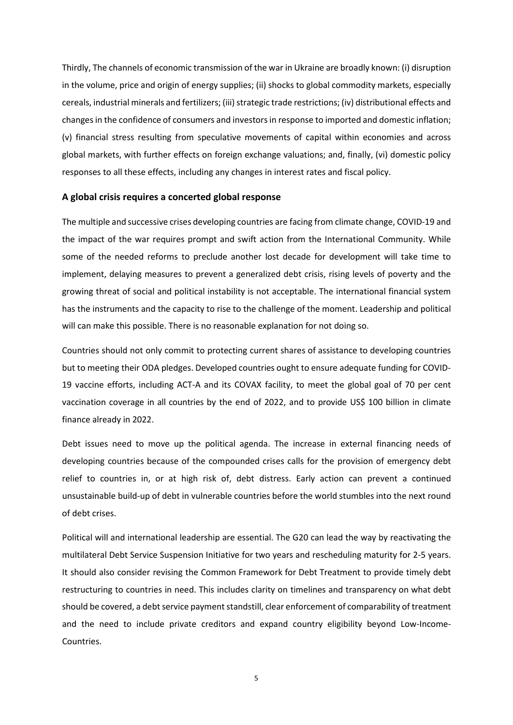Thirdly, The channels of economic transmission of the war in Ukraine are broadly known: (i) disruption in the volume, price and origin of energy supplies; (ii) shocks to global commodity markets, especially cereals, industrial minerals and fertilizers; (iii) strategic trade restrictions; (iv) distributional effects and changes in the confidence of consumers and investors in response to imported and domestic inflation; (v) financial stress resulting from speculative movements of capital within economies and across global markets, with further effects on foreign exchange valuations; and, finally, (vi) domestic policy responses to all these effects, including any changes in interest rates and fiscal policy.

## **A global crisis requires a concerted global response**

The multiple and successive crises developing countries are facing from climate change, COVID-19 and the impact of the war requires prompt and swift action from the International Community. While some of the needed reforms to preclude another lost decade for development will take time to implement, delaying measures to prevent a generalized debt crisis, rising levels of poverty and the growing threat of social and political instability is not acceptable. The international financial system has the instruments and the capacity to rise to the challenge of the moment. Leadership and political will can make this possible. There is no reasonable explanation for not doing so.

Countries should not only commit to protecting current shares of assistance to developing countries but to meeting their ODA pledges. Developed countries ought to ensure adequate funding for COVID-19 vaccine efforts, including ACT-A and its COVAX facility, to meet the global goal of 70 per cent vaccination coverage in all countries by the end of 2022, and to provide US\$ 100 billion in climate finance already in 2022.

Debt issues need to move up the political agenda. The increase in external financing needs of developing countries because of the compounded crises calls for the provision of emergency debt relief to countries in, or at high risk of, debt distress. Early action can prevent a continued unsustainable build-up of debt in vulnerable countries before the world stumbles into the next round of debt crises.

Political will and international leadership are essential. The G20 can lead the way by reactivating the multilateral Debt Service Suspension Initiative for two years and rescheduling maturity for 2-5 years. It should also consider revising the Common Framework for Debt Treatment to provide timely debt restructuring to countries in need. This includes clarity on timelines and transparency on what debt should be covered, a debt service payment standstill, clear enforcement of comparability of treatment and the need to include private creditors and expand country eligibility beyond Low-Income-Countries.

5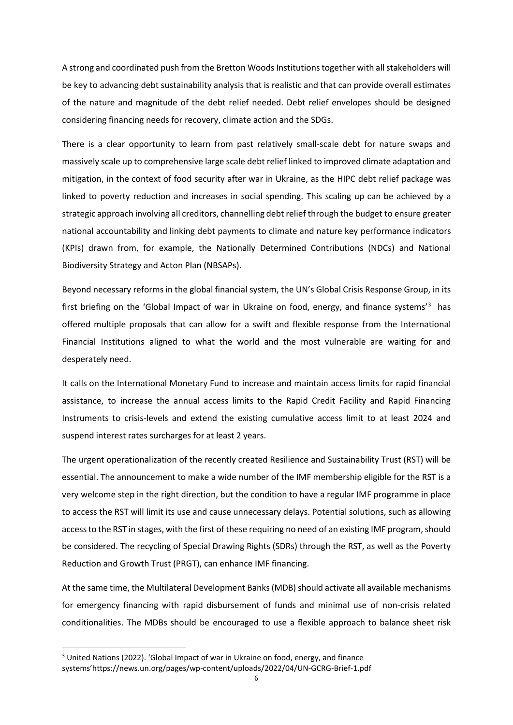A strong and coordinated push from the Bretton Woods Institutions together with all stakeholders will be key to advancing debt sustainability analysis that is realistic and that can provide overall estimates of the nature and magnitude of the debt relief needed. Debt relief envelopes should be designed considering financing needs for recovery, climate action and the SDGs.

There is a clear opportunity to learn from past relatively small-scale debt for nature swaps and massively scale up to comprehensive large scale debt relief linked to improved climate adaptation and mitigation, in the context of food security after war in Ukraine, as the HIPC debt relief package was linked to poverty reduction and increases in social spending. This scaling up can be achieved by a strategic approach involving all creditors, channelling debt relief through the budget to ensure greater national accountability and linking debt payments to climate and nature key performance indicators (KPIs) drawn from, for example, the Nationally Determined Contributions (NDCs) and National Biodiversity Strategy and Acton Plan (NBSAPs).

Beyond necessary reforms in the global financial system, the UN's Global Crisis Response Group, in its first briefing on the 'Global Impact of war in Ukraine on food, energy, and finance systems<sup>[3](#page-7-0)</sup> has offered multiple proposals that can allow for a swift and flexible response from the International Financial Institutions aligned to what the world and the most vulnerable are waiting for and desperately need.

It calls on the International Monetary Fund to increase and maintain access limits for rapid financial assistance, to increase the annual access limits to the Rapid Credit Facility and Rapid Financing Instruments to crisis-levels and extend the existing cumulative access limit to at least 2024 and suspend interest rates surcharges for at least 2 years.

The urgent operationalization of the recently created Resilience and Sustainability Trust (RST) will be essential. The announcement to make a wide number of the IMF membership eligible for the RST is a very welcome step in the right direction, but the condition to have a regular IMF programme in place to access the RST will limit its use and cause unnecessary delays. Potential solutions, such as allowing accessto the RST in stages, with the first of these requiring no need of an existing IMF program, should be considered. The recycling of Special Drawing Rights (SDRs) through the RST, as well as the Poverty Reduction and Growth Trust (PRGT), can enhance IMF financing.

At the same time, the Multilateral Development Banks (MDB) should activate all available mechanisms for emergency financing with rapid disbursement of funds and minimal use of non-crisis related conditionalities. The MDBs should be encouraged to use a flexible approach to balance sheet risk

<span id="page-7-0"></span><sup>3</sup> United Nations (2022). 'Global Impact of war in Ukraine on food, energy, and finance systems'https://news.un.org/pages/wp-content/uploads/2022/04/UN-GCRG-Brief-1.pdf